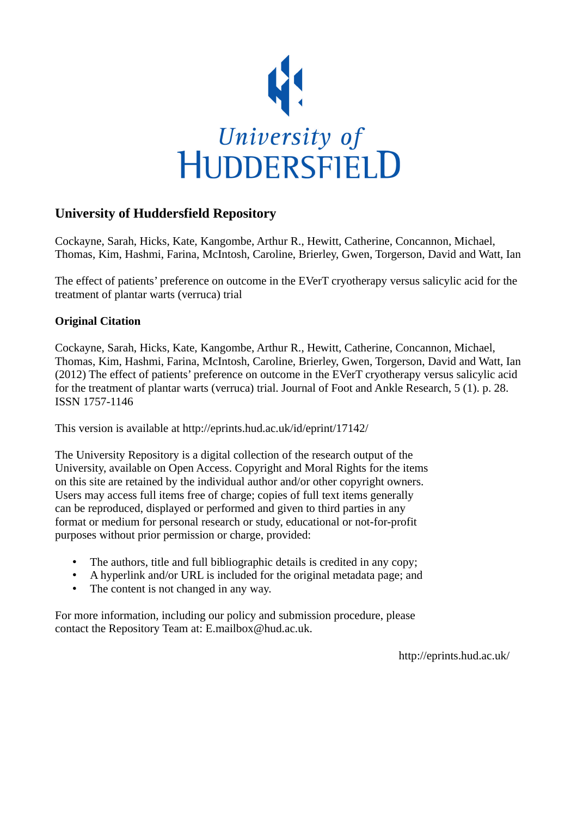

# **University of Huddersfield Repository**

Cockayne, Sarah, Hicks, Kate, Kangombe, Arthur R., Hewitt, Catherine, Concannon, Michael, Thomas, Kim, Hashmi, Farina, McIntosh, Caroline, Brierley, Gwen, Torgerson, David and Watt, Ian

The effect of patients' preference on outcome in the EVerT cryotherapy versus salicylic acid for the treatment of plantar warts (verruca) trial

# **Original Citation**

Cockayne, Sarah, Hicks, Kate, Kangombe, Arthur R., Hewitt, Catherine, Concannon, Michael, Thomas, Kim, Hashmi, Farina, McIntosh, Caroline, Brierley, Gwen, Torgerson, David and Watt, Ian (2012) The effect of patients' preference on outcome in the EVerT cryotherapy versus salicylic acid for the treatment of plantar warts (verruca) trial. Journal of Foot and Ankle Research, 5 (1). p. 28. ISSN 1757-1146

This version is available at http://eprints.hud.ac.uk/id/eprint/17142/

The University Repository is a digital collection of the research output of the University, available on Open Access. Copyright and Moral Rights for the items on this site are retained by the individual author and/or other copyright owners. Users may access full items free of charge; copies of full text items generally can be reproduced, displayed or performed and given to third parties in any format or medium for personal research or study, educational or not-for-profit purposes without prior permission or charge, provided:

- The authors, title and full bibliographic details is credited in any copy;
- A hyperlink and/or URL is included for the original metadata page; and
- The content is not changed in any way.

For more information, including our policy and submission procedure, please contact the Repository Team at: E.mailbox@hud.ac.uk.

http://eprints.hud.ac.uk/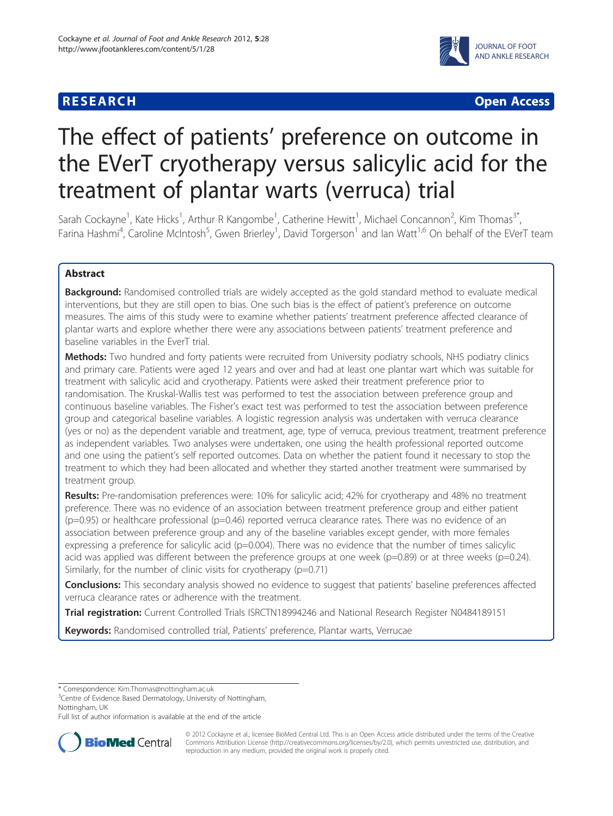# **RESEARCH CHEAR CHEAR CHEAR CHEAR CHEAR CHEAR CHEAR CHEAR CHEAR CHEAR CHEAR CHEAR CHEAR CHEAR CHEAR CHEAR CHEAR**



# The effect of patients' preference on outcome in the EVerT cryotherapy versus salicylic acid for the treatment of plantar warts (verruca) trial

Sarah Cockayne<sup>1</sup>, Kate Hicks<sup>1</sup>, Arthur R Kangombe<sup>1</sup>, Catherine Hewitt<sup>1</sup>, Michael Concannon<sup>2</sup>, Kim Thomas<sup>3\*</sup>, Farina Hashmi<sup>4</sup>, Caroline McIntosh<sup>5</sup>, Gwen Brierley<sup>1</sup>, David Torgerson<sup>1</sup> and Ian Watt<sup>1,6</sup> On behalf of the EVerT team

# Abstract

Background: Randomised controlled trials are widely accepted as the gold standard method to evaluate medical interventions, but they are still open to bias. One such bias is the effect of patient's preference on outcome measures. The aims of this study were to examine whether patients' treatment preference affected clearance of plantar warts and explore whether there were any associations between patients' treatment preference and baseline variables in the EverT trial.

Methods: Two hundred and forty patients were recruited from University podiatry schools, NHS podiatry clinics and primary care. Patients were aged 12 years and over and had at least one plantar wart which was suitable for treatment with salicylic acid and cryotherapy. Patients were asked their treatment preference prior to randomisation. The Kruskal-Wallis test was performed to test the association between preference group and continuous baseline variables. The Fisher's exact test was performed to test the association between preference group and categorical baseline variables. A logistic regression analysis was undertaken with verruca clearance (yes or no) as the dependent variable and treatment, age, type of verruca, previous treatment, treatment preference as independent variables. Two analyses were undertaken, one using the health professional reported outcome and one using the patient's self reported outcomes. Data on whether the patient found it necessary to stop the treatment to which they had been allocated and whether they started another treatment were summarised by treatment group.

Results: Pre-randomisation preferences were: 10% for salicylic acid; 42% for cryotherapy and 48% no treatment preference. There was no evidence of an association between treatment preference group and either patient (p=0.95) or healthcare professional (p=0.46) reported verruca clearance rates. There was no evidence of an association between preference group and any of the baseline variables except gender, with more females expressing a preference for salicylic acid (p=0.004). There was no evidence that the number of times salicylic acid was applied was different between the preference groups at one week ( $p=0.89$ ) or at three weeks ( $p=0.24$ ). Similarly, for the number of clinic visits for cryotherapy (p=0.71)

Conclusions: This secondary analysis showed no evidence to suggest that patients' baseline preferences affected verruca clearance rates or adherence with the treatment.

Trial registration: Current Controlled Trials ISRCTN18994246 and National Research Register N0484189151

Keywords: Randomised controlled trial, Patients' preference, Plantar warts, Verrucae

\* Correspondence: [Kim.Thomas@nottingham.ac.uk](mailto:Kim.Thomas@nottingham.ac.uk) <sup>3</sup>

<sup>3</sup> Centre of Evidence Based Dermatology, University of Nottingham, Nottingham, UK

Full list of author information is available at the end of the article



© 2012 Cockayne et al.; licensee BioMed Central Ltd. This is an Open Access article distributed under the terms of the Creative Commons Attribution License [\(http://creativecommons.org/licenses/by/2.0\)](http://creativecommons.org/licenses/by/2.0), which permits unrestricted use, distribution, and reproduction in any medium, provided the original work is properly cited.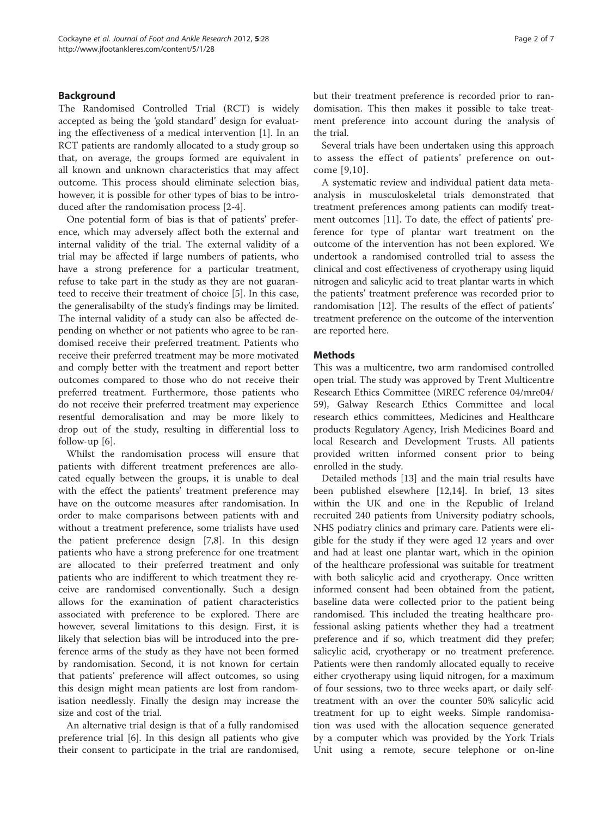# Background

The Randomised Controlled Trial (RCT) is widely accepted as being the 'gold standard' design for evaluating the effectiveness of a medical intervention [[1\]](#page-7-0). In an RCT patients are randomly allocated to a study group so that, on average, the groups formed are equivalent in all known and unknown characteristics that may affect outcome. This process should eliminate selection bias, however, it is possible for other types of bias to be introduced after the randomisation process [[2-4](#page-7-0)].

One potential form of bias is that of patients' preference, which may adversely affect both the external and internal validity of the trial. The external validity of a trial may be affected if large numbers of patients, who have a strong preference for a particular treatment, refuse to take part in the study as they are not guaranteed to receive their treatment of choice [\[5](#page-7-0)]. In this case, the generalisabilty of the study's findings may be limited. The internal validity of a study can also be affected depending on whether or not patients who agree to be randomised receive their preferred treatment. Patients who receive their preferred treatment may be more motivated and comply better with the treatment and report better outcomes compared to those who do not receive their preferred treatment. Furthermore, those patients who do not receive their preferred treatment may experience resentful demoralisation and may be more likely to drop out of the study, resulting in differential loss to follow-up [[6\]](#page-7-0).

Whilst the randomisation process will ensure that patients with different treatment preferences are allocated equally between the groups, it is unable to deal with the effect the patients' treatment preference may have on the outcome measures after randomisation. In order to make comparisons between patients with and without a treatment preference, some trialists have used the patient preference design [[7,8\]](#page-7-0). In this design patients who have a strong preference for one treatment are allocated to their preferred treatment and only patients who are indifferent to which treatment they receive are randomised conventionally. Such a design allows for the examination of patient characteristics associated with preference to be explored. There are however, several limitations to this design. First, it is likely that selection bias will be introduced into the preference arms of the study as they have not been formed by randomisation. Second, it is not known for certain that patients' preference will affect outcomes, so using this design might mean patients are lost from randomisation needlessly. Finally the design may increase the size and cost of the trial.

An alternative trial design is that of a fully randomised preference trial [\[6](#page-7-0)]. In this design all patients who give their consent to participate in the trial are randomised, but their treatment preference is recorded prior to randomisation. This then makes it possible to take treatment preference into account during the analysis of the trial.

Several trials have been undertaken using this approach to assess the effect of patients' preference on outcome [\[9,10\]](#page-7-0).

A systematic review and individual patient data metaanalysis in musculoskeletal trials demonstrated that treatment preferences among patients can modify treatment outcomes [\[11\]](#page-7-0). To date, the effect of patients' preference for type of plantar wart treatment on the outcome of the intervention has not been explored. We undertook a randomised controlled trial to assess the clinical and cost effectiveness of cryotherapy using liquid nitrogen and salicylic acid to treat plantar warts in which the patients' treatment preference was recorded prior to randomisation [\[12](#page-7-0)]. The results of the effect of patients' treatment preference on the outcome of the intervention are reported here.

# **Methods**

This was a multicentre, two arm randomised controlled open trial. The study was approved by Trent Multicentre Research Ethics Committee (MREC reference 04/mre04/ 59), Galway Research Ethics Committee and local research ethics committees, Medicines and Healthcare products Regulatory Agency, Irish Medicines Board and local Research and Development Trusts. All patients provided written informed consent prior to being enrolled in the study.

Detailed methods [[13](#page-7-0)] and the main trial results have been published elsewhere [\[12,14\]](#page-7-0). In brief, 13 sites within the UK and one in the Republic of Ireland recruited 240 patients from University podiatry schools, NHS podiatry clinics and primary care. Patients were eligible for the study if they were aged 12 years and over and had at least one plantar wart, which in the opinion of the healthcare professional was suitable for treatment with both salicylic acid and cryotherapy. Once written informed consent had been obtained from the patient, baseline data were collected prior to the patient being randomised. This included the treating healthcare professional asking patients whether they had a treatment preference and if so, which treatment did they prefer; salicylic acid, cryotherapy or no treatment preference. Patients were then randomly allocated equally to receive either cryotherapy using liquid nitrogen, for a maximum of four sessions, two to three weeks apart, or daily selftreatment with an over the counter 50% salicylic acid treatment for up to eight weeks. Simple randomisation was used with the allocation sequence generated by a computer which was provided by the York Trials Unit using a remote, secure telephone or on-line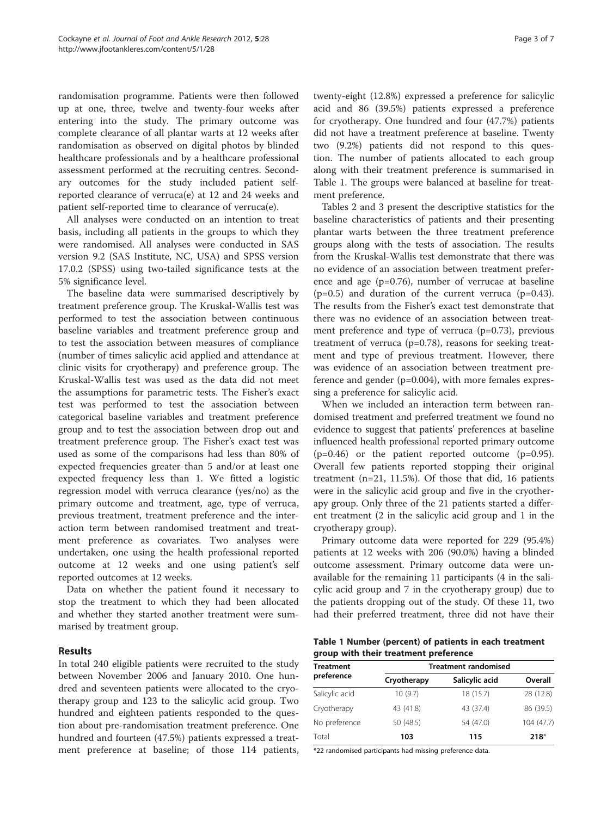randomisation programme. Patients were then followed up at one, three, twelve and twenty-four weeks after entering into the study. The primary outcome was complete clearance of all plantar warts at 12 weeks after randomisation as observed on digital photos by blinded healthcare professionals and by a healthcare professional assessment performed at the recruiting centres. Secondary outcomes for the study included patient selfreported clearance of verruca(e) at 12 and 24 weeks and patient self-reported time to clearance of verruca(e).

All analyses were conducted on an intention to treat basis, including all patients in the groups to which they were randomised. All analyses were conducted in SAS version 9.2 (SAS Institute, NC, USA) and SPSS version 17.0.2 (SPSS) using two-tailed significance tests at the 5% significance level.

The baseline data were summarised descriptively by treatment preference group. The Kruskal-Wallis test was performed to test the association between continuous baseline variables and treatment preference group and to test the association between measures of compliance (number of times salicylic acid applied and attendance at clinic visits for cryotherapy) and preference group. The Kruskal-Wallis test was used as the data did not meet the assumptions for parametric tests. The Fisher's exact test was performed to test the association between categorical baseline variables and treatment preference group and to test the association between drop out and treatment preference group. The Fisher's exact test was used as some of the comparisons had less than 80% of expected frequencies greater than 5 and/or at least one expected frequency less than 1. We fitted a logistic regression model with verruca clearance (yes/no) as the primary outcome and treatment, age, type of verruca, previous treatment, treatment preference and the interaction term between randomised treatment and treatment preference as covariates. Two analyses were undertaken, one using the health professional reported outcome at 12 weeks and one using patient's self reported outcomes at 12 weeks.

Data on whether the patient found it necessary to stop the treatment to which they had been allocated and whether they started another treatment were summarised by treatment group.

# Results

In total 240 eligible patients were recruited to the study between November 2006 and January 2010. One hundred and seventeen patients were allocated to the cryotherapy group and 123 to the salicylic acid group. Two hundred and eighteen patients responded to the question about pre-randomisation treatment preference. One hundred and fourteen (47.5%) patients expressed a treatment preference at baseline; of those 114 patients, twenty-eight (12.8%) expressed a preference for salicylic acid and 86 (39.5%) patients expressed a preference for cryotherapy. One hundred and four (47.7%) patients did not have a treatment preference at baseline. Twenty two (9.2%) patients did not respond to this question. The number of patients allocated to each group along with their treatment preference is summarised in Table 1. The groups were balanced at baseline for treatment preference.

Tables [2](#page-4-0) and [3](#page-4-0) present the descriptive statistics for the baseline characteristics of patients and their presenting plantar warts between the three treatment preference groups along with the tests of association. The results from the Kruskal-Wallis test demonstrate that there was no evidence of an association between treatment preference and age (p=0.76), number of verrucae at baseline  $(p=0.5)$  and duration of the current verruca  $(p=0.43)$ . The results from the Fisher's exact test demonstrate that there was no evidence of an association between treatment preference and type of verruca  $(p=0.73)$ , previous treatment of verruca (p=0.78), reasons for seeking treatment and type of previous treatment. However, there was evidence of an association between treatment preference and gender (p=0.004), with more females expressing a preference for salicylic acid.

When we included an interaction term between randomised treatment and preferred treatment we found no evidence to suggest that patients' preferences at baseline influenced health professional reported primary outcome  $(p=0.46)$  or the patient reported outcome  $(p=0.95)$ . Overall few patients reported stopping their original treatment (n=21, 11.5%). Of those that did, 16 patients were in the salicylic acid group and five in the cryotherapy group. Only three of the 21 patients started a different treatment (2 in the salicylic acid group and 1 in the cryotherapy group).

Primary outcome data were reported for 229 (95.4%) patients at 12 weeks with 206 (90.0%) having a blinded outcome assessment. Primary outcome data were unavailable for the remaining 11 participants (4 in the salicylic acid group and 7 in the cryotherapy group) due to the patients dropping out of the study. Of these 11, two had their preferred treatment, three did not have their

|  | Table 1 Number (percent) of patients in each treatment |  |  |
|--|--------------------------------------------------------|--|--|
|  | group with their treatment preference                  |  |  |

| <b>Treatment</b> | <b>Treatment randomised</b> |                |            |  |
|------------------|-----------------------------|----------------|------------|--|
| preference       | Cryotherapy                 | Salicylic acid | Overall    |  |
| Salicylic acid   | 10(9.7)                     | 18 (15.7)      | 28 (12.8)  |  |
| Cryotherapy      | 43 (41.8)                   | 43 (37.4)      | 86 (39.5)  |  |
| No preference    | 50 (48.5)                   | 54 (47.0)      | 104 (47.7) |  |
| Total            | 103                         | 115            | $218*$     |  |

\*22 randomised participants had missing preference data.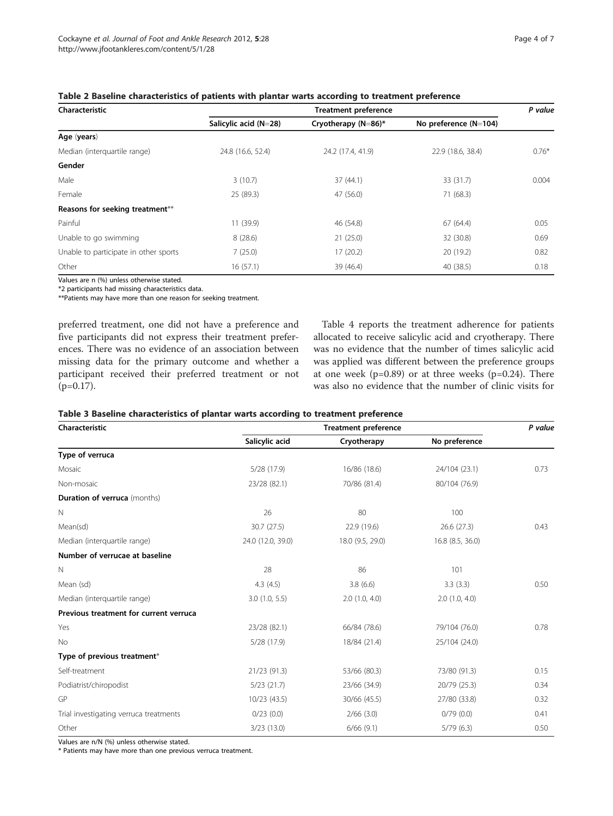<span id="page-4-0"></span>

| Characteristic                        | <b>Treatment preference</b> |                     |                       |         |
|---------------------------------------|-----------------------------|---------------------|-----------------------|---------|
|                                       | Salicylic acid (N=28)       | Cryotherapy (N=86)* | No preference (N=104) |         |
| Age (years)                           |                             |                     |                       |         |
| Median (interguartile range)          | 24.8 (16.6, 52.4)           | 24.2 (17.4, 41.9)   | 22.9 (18.6, 38.4)     | $0.76*$ |
| Gender                                |                             |                     |                       |         |
| Male                                  | 3(10.7)                     | 37(44.1)            | 33 (31.7)             | 0.004   |
| Female                                | 25 (89.3)                   | 47 (56.0)           | 71 (68.3)             |         |
| Reasons for seeking treatment**       |                             |                     |                       |         |
| Painful                               | 11 (39.9)                   | 46 (54.8)           | 67 (64.4)             | 0.05    |
| Unable to go swimming                 | 8(28.6)                     | 21(25.0)            | 32 (30.8)             | 0.69    |
| Unable to participate in other sports | 7(25.0)                     | 17(20.2)            | 20 (19.2)             | 0.82    |
| Other                                 | 16(57.1)                    | 39 (46.4)           | 40 (38.5)             | 0.18    |

Values are n (%) unless otherwise stated.

\*2 participants had missing characteristics data.

\*\*Patients may have more than one reason for seeking treatment.

preferred treatment, one did not have a preference and five participants did not express their treatment preferences. There was no evidence of an association between missing data for the primary outcome and whether a participant received their preferred treatment or not  $(p=0.17)$ .

Table [4](#page-5-0) reports the treatment adherence for patients allocated to receive salicylic acid and cryotherapy. There was no evidence that the number of times salicylic acid was applied was different between the preference groups at one week  $(p=0.89)$  or at three weeks  $(p=0.24)$ . There was also no evidence that the number of clinic visits for

| Table 3 Baseline characteristics of plantar warts according to treatment preference |  |  |
|-------------------------------------------------------------------------------------|--|--|
|-------------------------------------------------------------------------------------|--|--|

| Characteristic                         | <b>Treatment preference</b> |                  |                  | P value |
|----------------------------------------|-----------------------------|------------------|------------------|---------|
|                                        | Salicylic acid              | Cryotherapy      | No preference    |         |
| Type of verruca                        |                             |                  |                  |         |
| Mosaic                                 | 5/28(17.9)                  | 16/86 (18.6)     | 24/104 (23.1)    | 0.73    |
| Non-mosaic                             | 23/28 (82.1)                | 70/86 (81.4)     | 80/104 (76.9)    |         |
| <b>Duration of verruca</b> (months)    |                             |                  |                  |         |
| $\mathbb N$                            | 26                          | 80               | 100              |         |
| Mean(sd)                               | 30.7 (27.5)                 | 22.9 (19.6)      | 26.6(27.3)       | 0.43    |
| Median (interquartile range)           | 24.0 (12.0, 39.0)           | 18.0 (9.5, 29.0) | 16.8 (8.5, 36.0) |         |
| Number of verrucae at baseline         |                             |                  |                  |         |
| $\mathbb N$                            | 28                          | 86               | 101              |         |
| Mean (sd)                              | 4.3(4.5)                    | 3.8(6.6)         | 3.3(3.3)         | 0.50    |
| Median (interquartile range)           | 3.0(1.0, 5.5)               | 2.0(1.0, 4.0)    | 2.0(1.0, 4.0)    |         |
| Previous treatment for current verruca |                             |                  |                  |         |
| Yes                                    | 23/28 (82.1)                | 66/84 (78.6)     | 79/104 (76.0)    | 0.78    |
| No                                     | 5/28(17.9)                  | 18/84 (21.4)     | 25/104 (24.0)    |         |
| Type of previous treatment*            |                             |                  |                  |         |
| Self-treatment                         | 21/23 (91.3)                | 53/66 (80.3)     | 73/80 (91.3)     | 0.15    |
| Podiatrist/chiropodist                 | $5/23$ (21.7)               | 23/66 (34.9)     | 20/79 (25.3)     | 0.34    |
| GP                                     | 10/23 (43.5)                | 30/66 (45.5)     | 27/80 (33.8)     | 0.32    |
| Trial investigating verruca treatments | 0/23(0.0)                   | $2/66$ (3.0)     | 0/79(0.0)        | 0.41    |
| Other                                  | 3/23(13.0)                  | 6/66(9.1)        | 5/79(6.3)        | 0.50    |

Values are n/N (%) unless otherwise stated.

\* Patients may have more than one previous verruca treatment.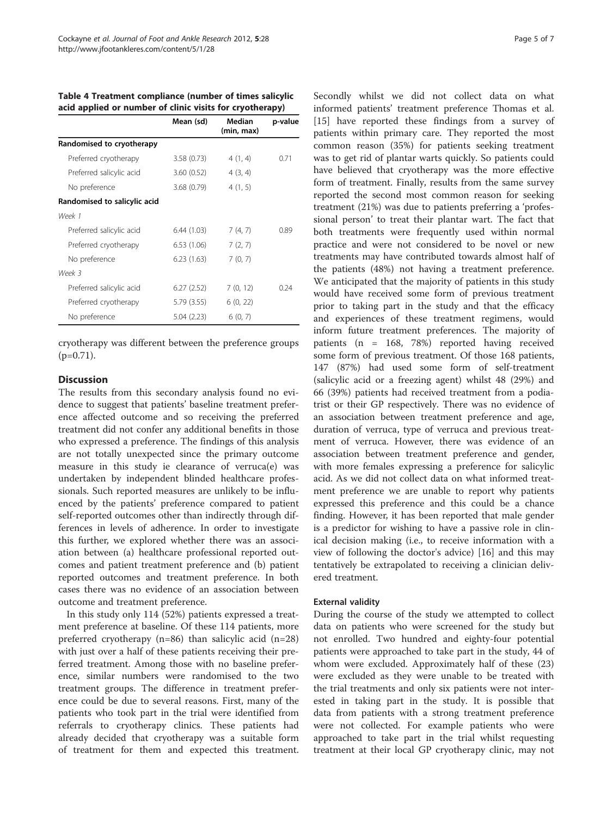|                              | Mean (sd)  | Median<br>(min, max) | p-value |
|------------------------------|------------|----------------------|---------|
| Randomised to cryotherapy    |            |                      |         |
| Preferred cryotherapy        | 3.58(0.73) | 4(1, 4)              | 0.71    |
| Preferred salicylic acid     | 3.60(0.52) | 4(3, 4)              |         |
| No preference                | 3.68(0.79) | 4(1, 5)              |         |
| Randomised to salicylic acid |            |                      |         |
| Week 1                       |            |                      |         |
| Preferred salicylic acid     | 6.44(1.03) | 7(4, 7)              | 0.89    |
| Preferred cryotherapy        | 6.53(1.06) | 7(2, 7)              |         |
| No preference                | 6.23(1.63) | 7(0, 7)              |         |
| Week 3                       |            |                      |         |
| Preferred salicylic acid     | 6.27(2.52) | 7(0, 12)             | 0.24    |
| Preferred cryotherapy        | 5.79(3.55) | 6(0, 22)             |         |
| No preference                | 5.04(2.23) | 6(0, 7)              |         |

<span id="page-5-0"></span>Table 4 Treatment compliance (number of times salicylic acid applied or number of clinic visits for cryotherapy)

cryotherapy was different between the preference groups  $(p=0.71)$ .

# **Discussion**

The results from this secondary analysis found no evidence to suggest that patients' baseline treatment preference affected outcome and so receiving the preferred treatment did not confer any additional benefits in those who expressed a preference. The findings of this analysis are not totally unexpected since the primary outcome measure in this study ie clearance of verruca(e) was undertaken by independent blinded healthcare professionals. Such reported measures are unlikely to be influenced by the patients' preference compared to patient self-reported outcomes other than indirectly through differences in levels of adherence. In order to investigate this further, we explored whether there was an association between (a) healthcare professional reported outcomes and patient treatment preference and (b) patient reported outcomes and treatment preference. In both cases there was no evidence of an association between outcome and treatment preference.

In this study only 114 (52%) patients expressed a treatment preference at baseline. Of these 114 patients, more preferred cryotherapy (n=86) than salicylic acid (n=28) with just over a half of these patients receiving their preferred treatment. Among those with no baseline preference, similar numbers were randomised to the two treatment groups. The difference in treatment preference could be due to several reasons. First, many of the patients who took part in the trial were identified from referrals to cryotherapy clinics. These patients had already decided that cryotherapy was a suitable form of treatment for them and expected this treatment. Secondly whilst we did not collect data on what informed patients' treatment preference Thomas et al. [[15\]](#page-7-0) have reported these findings from a survey of patients within primary care. They reported the most common reason (35%) for patients seeking treatment was to get rid of plantar warts quickly. So patients could have believed that cryotherapy was the more effective form of treatment. Finally, results from the same survey reported the second most common reason for seeking treatment (21%) was due to patients preferring a 'professional person' to treat their plantar wart. The fact that both treatments were frequently used within normal practice and were not considered to be novel or new treatments may have contributed towards almost half of the patients (48%) not having a treatment preference. We anticipated that the majority of patients in this study would have received some form of previous treatment prior to taking part in the study and that the efficacy and experiences of these treatment regimens, would inform future treatment preferences. The majority of patients (n = 168, 78%) reported having received some form of previous treatment. Of those 168 patients, 147 (87%) had used some form of self-treatment (salicylic acid or a freezing agent) whilst 48 (29%) and 66 (39%) patients had received treatment from a podiatrist or their GP respectively. There was no evidence of an association between treatment preference and age, duration of verruca, type of verruca and previous treatment of verruca. However, there was evidence of an association between treatment preference and gender, with more females expressing a preference for salicylic acid. As we did not collect data on what informed treatment preference we are unable to report why patients expressed this preference and this could be a chance finding. However, it has been reported that male gender is a predictor for wishing to have a passive role in clinical decision making (i.e., to receive information with a view of following the doctor's advice) [[16\]](#page-7-0) and this may tentatively be extrapolated to receiving a clinician delivered treatment.

# External validity

During the course of the study we attempted to collect data on patients who were screened for the study but not enrolled. Two hundred and eighty-four potential patients were approached to take part in the study, 44 of whom were excluded. Approximately half of these (23) were excluded as they were unable to be treated with the trial treatments and only six patients were not interested in taking part in the study. It is possible that data from patients with a strong treatment preference were not collected. For example patients who were approached to take part in the trial whilst requesting treatment at their local GP cryotherapy clinic, may not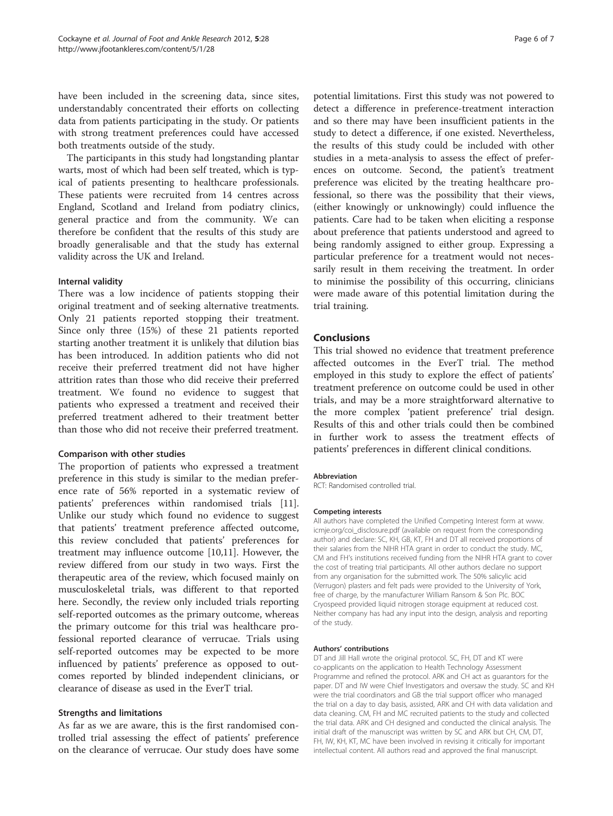have been included in the screening data, since sites, understandably concentrated their efforts on collecting data from patients participating in the study. Or patients with strong treatment preferences could have accessed both treatments outside of the study.

The participants in this study had longstanding plantar warts, most of which had been self treated, which is typical of patients presenting to healthcare professionals. These patients were recruited from 14 centres across England, Scotland and Ireland from podiatry clinics, general practice and from the community. We can therefore be confident that the results of this study are broadly generalisable and that the study has external validity across the UK and Ireland.

# Internal validity

There was a low incidence of patients stopping their original treatment and of seeking alternative treatments. Only 21 patients reported stopping their treatment. Since only three (15%) of these 21 patients reported starting another treatment it is unlikely that dilution bias has been introduced. In addition patients who did not receive their preferred treatment did not have higher attrition rates than those who did receive their preferred treatment. We found no evidence to suggest that patients who expressed a treatment and received their preferred treatment adhered to their treatment better than those who did not receive their preferred treatment.

#### Comparison with other studies

The proportion of patients who expressed a treatment preference in this study is similar to the median preference rate of 56% reported in a systematic review of patients' preferences within randomised trials [\[11](#page-7-0)]. Unlike our study which found no evidence to suggest that patients' treatment preference affected outcome, this review concluded that patients' preferences for treatment may influence outcome [[10,11\]](#page-7-0). However, the review differed from our study in two ways. First the therapeutic area of the review, which focused mainly on musculoskeletal trials, was different to that reported here. Secondly, the review only included trials reporting self-reported outcomes as the primary outcome, whereas the primary outcome for this trial was healthcare professional reported clearance of verrucae. Trials using self-reported outcomes may be expected to be more influenced by patients' preference as opposed to outcomes reported by blinded independent clinicians, or clearance of disease as used in the EverT trial.

## Strengths and limitations

As far as we are aware, this is the first randomised controlled trial assessing the effect of patients' preference on the clearance of verrucae. Our study does have some potential limitations. First this study was not powered to detect a difference in preference-treatment interaction and so there may have been insufficient patients in the study to detect a difference, if one existed. Nevertheless, the results of this study could be included with other studies in a meta-analysis to assess the effect of preferences on outcome. Second, the patient's treatment preference was elicited by the treating healthcare professional, so there was the possibility that their views, (either knowingly or unknowingly) could influence the patients. Care had to be taken when eliciting a response about preference that patients understood and agreed to being randomly assigned to either group. Expressing a particular preference for a treatment would not necessarily result in them receiving the treatment. In order to minimise the possibility of this occurring, clinicians were made aware of this potential limitation during the trial training.

# **Conclusions**

This trial showed no evidence that treatment preference affected outcomes in the EverT trial. The method employed in this study to explore the effect of patients' treatment preference on outcome could be used in other trials, and may be a more straightforward alternative to the more complex 'patient preference' trial design. Results of this and other trials could then be combined in further work to assess the treatment effects of patients' preferences in different clinical conditions.

#### Abbreviation

RCT: Randomised controlled trial.

#### Competing interests

All authors have completed the Unified Competing Interest form at www. icmje.org/coi\_disclosure.pdf (available on request from the corresponding author) and declare: SC, KH, GB, KT, FH and DT all received proportions of their salaries from the NIHR HTA grant in order to conduct the study. MC, CM and FH's institutions received funding from the NIHR HTA grant to cover the cost of treating trial participants. All other authors declare no support from any organisation for the submitted work. The 50% salicylic acid (Verrugon) plasters and felt pads were provided to the University of York, free of charge, by the manufacturer William Ransom & Son Plc. BOC Cryospeed provided liquid nitrogen storage equipment at reduced cost. Neither company has had any input into the design, analysis and reporting of the study.

#### Authors' contributions

DT and Jill Hall wrote the original protocol. SC, FH, DT and KT were co-applicants on the application to Health Technology Assessment Programme and refined the protocol. ARK and CH act as guarantors for the paper. DT and IW were Chief Investigators and oversaw the study. SC and KH were the trial coordinators and GB the trial support officer who managed the trial on a day to day basis, assisted, ARK and CH with data validation and data cleaning. CM, FH and MC recruited patients to the study and collected the trial data. ARK and CH designed and conducted the clinical analysis. The initial draft of the manuscript was written by SC and ARK but CH, CM, DT, FH, IW, KH, KT, MC have been involved in revising it critically for important intellectual content. All authors read and approved the final manuscript.